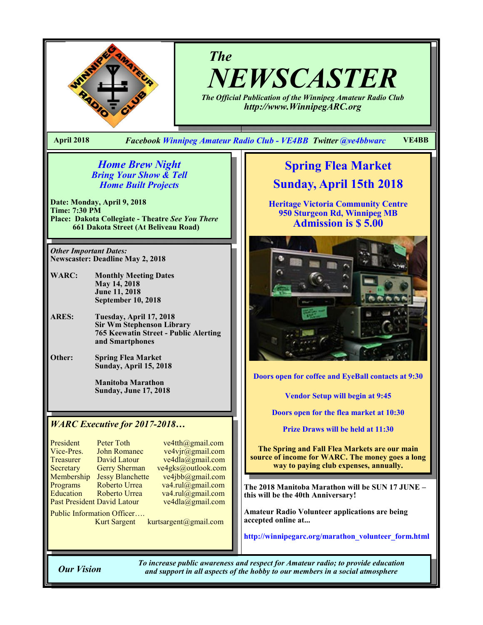

*The NEWSCASTER*

*The Official Publication of the Winnipeg Amateur Radio Club http://www.WinnipegARC.org*

**April 2018** *Facebook Winnipeg Amateur Radio Club - VE4BB Twitter @ve4bbwarc* **VE4BB**

### *Home Brew Night Bring Your Show & Tell Home Built Projects*

**Date: Monday, April 9, 2018 Time: 7:30 PM Place: Dakota Collegiate - Theatre** *See You There* **661 Dakota Street (At Beliveau Road)**

*Other Important Dates:* **Newscaster: Deadline May 2, 2018**

- **WARC: Monthly Meeting Dates May 14, 2018 June 11, 2018 September 10, 2018**
- **ARES: Tuesday, April 17, 2018 Sir Wm Stephenson Library 765 Keewatin Street - Public Alerting and Smartphones**
- **Other: Spring Flea Market Sunday, April 15, 2018**

**Manitoba Marathon Sunday, June 17, 2018**

### *WARC Executive for 2017-2018…*

| President                   | Peter Toth             |
|-----------------------------|------------------------|
|                             |                        |
| Vice-Pres.                  | <b>John Romanec</b>    |
| Treasurer                   | David Latour           |
| Secretary                   | <b>Gerry Sherman</b>   |
| Membership                  | <b>Jessy Blanchett</b> |
| Programs                    | Roberto Urrea          |
| Education                   | Roberto Urrea          |
| Past President David Latour |                        |
|                             |                        |

 $ve4th$  ( $Qg$ mail.com  $ve4$ vjr $\overline{\omega}$ gmail.com  $ve4dla@gmail.com$ ve4gks@outlook.com  $ve4jbb@g$ mail.com  $v$ a4.rul@gmail.com  $va4.rul@gmail.com$  $ve4dla$ @gmail.com

Public Information Officer….

Kurt Sargent kurtsargent@gmail.com

**Spring Flea Market Sunday, April 15th 2018**

**Heritage Victoria Community Centre 950 Sturgeon Rd, Winnipeg MB Admission is \$ 5.00**



**Doors open for coffee and EyeBall contacts at 9:30**

**Vendor Setup will begin at 9:45**

**Doors open for the flea market at 10:30**

**Prize Draws will be held at 11:30**

**The Spring and Fall Flea Markets are our main source of income for WARC. The money goes a long way to paying club expenses, annually.** 

**The 2018 Manitoba Marathon will be SUN 17 JUNE – this will be the 40th Anniversary!**

**Amateur Radio Volunteer applications are being accepted online at...**

**http://winnipegarc.org/marathon\_volunteer\_form.html** 

*To increase public awareness and respect for Amateur radio; to provide education Our Vision and support in all aspects of the hobby to our members in a social atmosphere*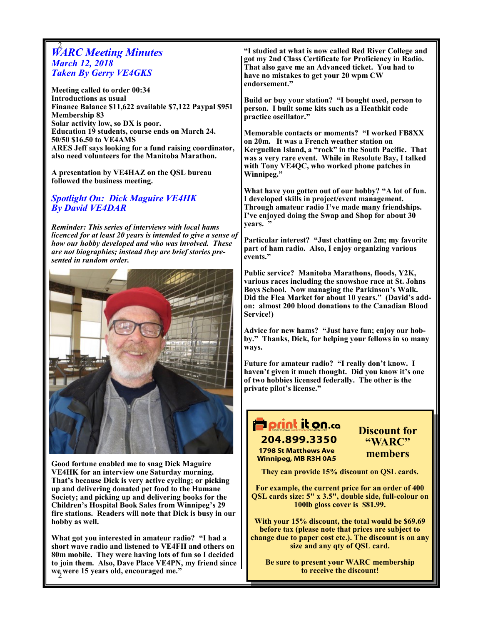# 2 *WARC Meeting Minutes March 12, 2018 Taken By Gerry VE4GKS*

**Meeting called to order 00:34 Introductions as usual Finance Balance \$11,622 available \$7,122 Paypal \$951 Membership 83 Solar activity low, so DX is poor. Education 19 students, course ends on March 24. 50/50 \$16.50 to VE4AMS ARES Jeff says looking for a fund raising coordinator, also need volunteers for the Manitoba Marathon.**

**A presentation by VE4HAZ on the QSL bureau followed the business meeting.**

## *Spotlight On: Dick Maguire VE4HK By David VE4DAR*

*Reminder: This series of interviews with local hams licenced for at least 20 years is intended to give a sense of how our hobby developed and who was involved. These are not biographies; instead they are brief stories presented in random order.*



**Good fortune enabled me to snag Dick Maguire VE4HK for an interview one Saturday morning. That's because Dick is very active cycling; or picking up and delivering donated pet food to the Humane Society; and picking up and delivering books for the Children's Hospital Book Sales from Winnipeg's 29 fire stations. Readers will note that Dick is busy in our hobby as well.**

2 **we were 15 years old, encouraged me." What got you interested in amateur radio? "I had a short wave radio and listened to VE4FH and others on 80m mobile. They were having lots of fun so I decided to join them. Also, Dave Place VE4PN, my friend since**  **"I studied at what is now called Red River College and got my 2nd Class Certificate for Proficiency in Radio. That also gave me an Advanced ticket. You had to have no mistakes to get your 20 wpm CW endorsement."**

**Build or buy your station? "I bought used, person to person. I built some kits such as a Heathkit code practice oscillator."**

**Memorable contacts or moments? "I worked FB8XX on 20m. It was a French weather station on Kerguellen Island, a "rock" in the South Pacific. That was a very rare event. While in Resolute Bay, I talked with Tony VE4QC, who worked phone patches in Winnipeg."**

**What have you gotten out of our hobby? "A lot of fun. I developed skills in project/event management. Through amateur radio I've made many friendships. I've enjoyed doing the Swap and Shop for about 30 years. "**

**Particular interest? "Just chatting on 2m; my favorite part of ham radio. Also, I enjoy organizing various events."**

**Public service? Manitoba Marathons, floods, Y2K, various races including the snowshoe race at St. Johns Boys School. Now managing the Parkinson's Walk. Did the Flea Market for about 10 years." (David's addon: almost 200 blood donations to the Canadian Blood Service!)**

**Advice for new hams? "Just have fun; enjoy our hobby." Thanks, Dick, for helping your fellows in so many ways.**

**Future for amateur radio? "I really don't know. I haven't given it much thought. Did you know it's one of two hobbies licensed federally. The other is the private pilot's license."**

# **P** print it on.co 204.899.3350

**1798 St Matthews Ave Winnipeg, MB R3H 0A5**  **Discount for "WARC" members**

**They can provide 15% discount on QSL cards.**

**For example, the current price for an order of 400 QSL cards size: 5" x 3.5", double side, full-colour on 100lb gloss cover is \$81.99.** 

**With your 15% discount, the total would be \$69.69 before tax (please note that prices are subject to change due to paper cost etc.). The discount is on any size and any qty of QSL card.**

**Be sure to present your WARC membership to receive the discount!**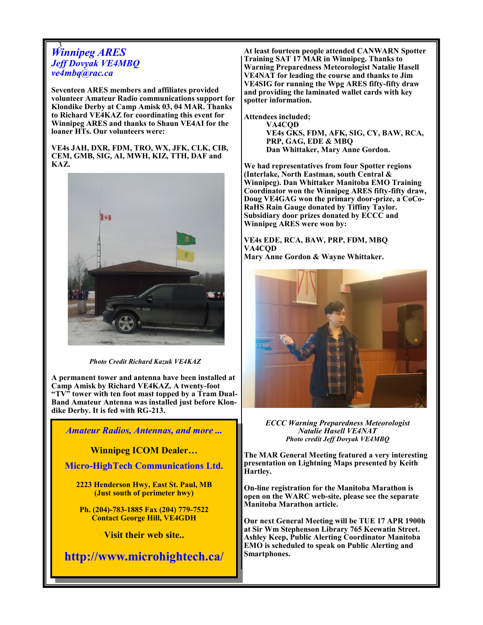# 3 *Winnipeg ARES Jeff Dovyak VE4MBQ ve4mbq@rac.ca*

**Seventeen ARES members and affiliates provided volunteer Amateur Radio communications support for Klondike Derby at Camp Amisk 03, 04 MAR. Thanks to Richard VE4KAZ for coordinating this event for Winnipeg ARES and thanks to Shaun VE4AI for the loaner HTs. Our volunteers were:**

**VE4s JAH, DXR, FDM, TRO, WX, JFK, CLK, CIB, CEM, GMB, SIG, AI, MWH, KIZ, TTH, DAF and KAZ.**



*Photo Credit Richard Kazuk VE4KAZ*

**A permanent tower and antenna have been installed at Camp Amisk by Richard VE4KAZ. A twenty-foot "TV" tower with ten foot mast topped by a Tram Dual-Band Amateur Antenna was installed just before Klondike Derby. It is fed with RG-213.**

*Amateur Radios, Antennas, and more ...* 

**Winnipeg ICOM Dealer…**

**Micro-HighTech Communications Ltd.**

**2223 Henderson Hwy, East St. Paul, MB (Just south of perimeter hwy)**

**Ph. (204)-783-1885 Fax (204) 779-7522 Contact George Hill, VE4GDH**

**Visit their web site..**

**http://www.microhightech.ca/**

3

**At least fourteen people attended CANWARN Spotter Training SAT 17 MAR in Winnipeg. Thanks to Warning Preparedness Meteorologist Natalie Hasell VE4NAT for leading the course and thanks to Jim VE4SIG for running the Wpg ARES fifty-fifty draw and providing the laminated wallet cards with key spotter information.** 

**Attendees included; VA4CQD VE4s GKS, FDM, AFK, SIG, CY, BAW, RCA, PRP, GAG, EDE & MBQ Dan Whittaker, Mary Anne Gordon.**

**We had representatives from four Spotter regions (Interlake, North Eastman, south Central & Winnipeg). Dan Whittaker Manitoba EMO Training Coordinator won the Winnipeg ARES fifty-fifty draw, Doug VE4GAG won the primary door-prize, a CoCo-RaHS Rain Gauge donated by Tiffiny Taylor. Subsidiary door prizes donated by ECCC and Winnipeg ARES were won by:**

**VE4s EDE, RCA, BAW, PRP, FDM, MBQ VA4CQD**

**Mary Anne Gordon & Wayne Whittaker.**



*ECCC Warning Preparedness Meteorologist Natalie Hasell VE4NAT Photo credit Jeff Dovyak VE4MBQ*

**The MAR General Meeting featured a very interesting presentation on Lightning Maps presented by Keith Hartley.**

**On-line registration for the Manitoba Marathon is open on the WARC web-site, please see the separate Manitoba Marathon article.**

**Our next General Meeting will be TUE 17 APR 1900h at Sir Wm Stephenson Library 765 Keewatin Street. Ashley Keep, Public Alerting Coordinator Manitoba EMO is scheduled to speak on Public Alerting and Smartphones.**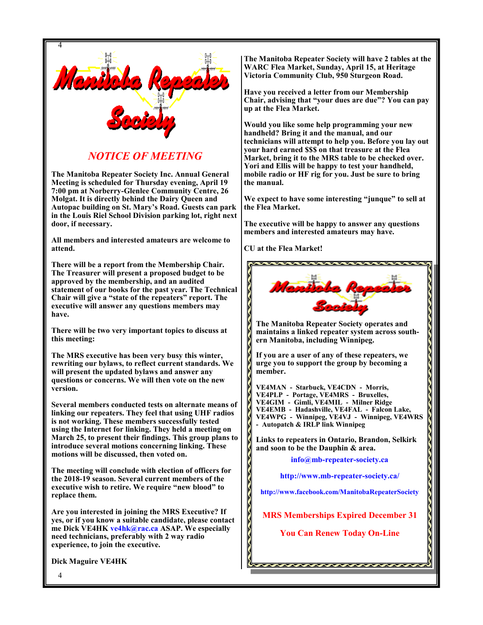

## *NOTICE OF MEETING*

**The Manitoba Repeater Society Inc. Annual General Meeting is scheduled for Thursday evening, April 19 7:00 pm at Norberry-Glenlee Community Centre, 26 Molgat. It is directly behind the Dairy Queen and Autopac building on St. Mary's Road. Guests can park in the Louis Riel School Division parking lot, right next door, if necessary.**

**All members and interested amateurs are welcome to attend.**

**There will be a report from the Membership Chair. The Treasurer will present a proposed budget to be approved by the membership, and an audited statement of our books for the past year. The Technical Chair will give a "state of the repeaters" report. The executive will answer any questions members may have.**

**There will be two very important topics to discuss at this meeting:**

**The MRS executive has been very busy this winter, rewriting our bylaws, to reflect current standards. We will present the updated bylaws and answer any questions or concerns. We will then vote on the new version.**

**Several members conducted tests on alternate means of linking our repeaters. They feel that using UHF radios is not working. These members successfully tested using the Internet for linking. They held a meeting on March 25, to present their findings. This group plans to introduce several motions concerning linking. These motions will be discussed, then voted on.**

**The meeting will conclude with election of officers for the 2018-19 season. Several current members of the executive wish to retire. We require "new blood" to replace them.** 

**Are you interested in joining the MRS Executive? If yes, or if you know a suitable candidate, please contact me Dick VE4HK ve4hk@rac.ca ASAP. We especially need technicians, preferably with 2 way radio experience, to join the executive.** 

**Dick Maguire VE4HK**

**The Manitoba Repeater Society will have 2 tables at the WARC Flea Market, Sunday, April 15, at Heritage Victoria Community Club, 950 Sturgeon Road.**

**Have you received a letter from our Membership Chair, advising that "your dues are due"? You can pay up at the Flea Market.** 

**Would you like some help programming your new handheld? Bring it and the manual, and our technicians will attempt to help you. Before you lay out your hard earned \$\$\$ on that treasure at the Flea Market, bring it to the MRS table to be checked over. Yori and Ellis will be happy to test your handheld, mobile radio or HF rig for you. Just be sure to bring the manual.** 

**We expect to have some interesting "junque" to sell at the Flea Market.** 

**The executive will be happy to answer any questions members and interested amateurs may have.**

**CU at the Flea Market!**



**The Manitoba Repeater Society operates and maintains a linked repeater system across southern Manitoba, including Winnipeg.**

**If you are a user of any of these repeaters, we urge you to support the group by becoming a member.**

**VE4MAN - Starbuck, VE4CDN - Morris, VE4PLP - Portage, VE4MRS - Bruxelles, VE4GIM - Gimli, VE4MIL - Milner Ridge VE4EMB - Hadashville, VE4FAL - Falcon Lake, VE4WPG - Winnipeg, VE4VJ - Winnipeg, VE4WRS - Autopatch & IRLP link Winnipeg**

**Links to repeaters in Ontario, Brandon, Selkirk and soon to be the Dauphin & area.**

**info@mb-repeater-society.ca**

**http://www.mb-repeater-society.ca/**

**http://www.facebook.com/ManitobaRepeaterSociety**

**MRS Memberships Expired December 31**

**You Can Renew Today On-Line**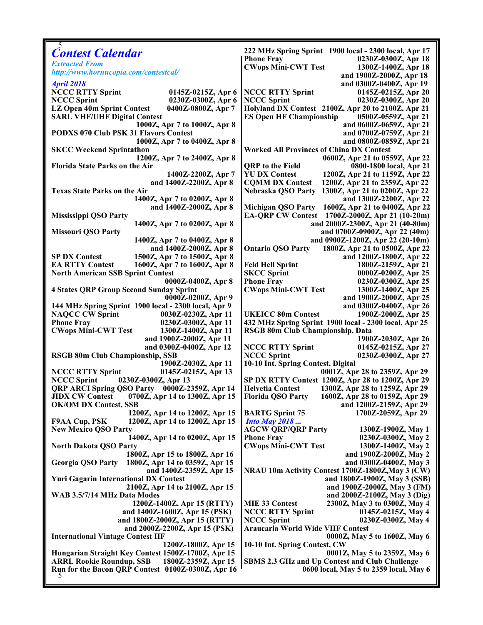| <b>Contest Calendar</b>                                        | 222 MHz Spring Sprint 1900 local - 2300 local, Apr 17      |
|----------------------------------------------------------------|------------------------------------------------------------|
| <b>Extracted From</b>                                          | 0230Z-0300Z, Apr 18<br><b>Phone Fray</b>                   |
| http://www.hornucopia.com/contestcal/                          | <b>CWops Mini-CWT Test</b><br>1300Z-1400Z, Apr 18          |
|                                                                | and 1900Z-2000Z, Apr 18                                    |
| <b>April 2018</b>                                              | and 0300Z-0400Z, Apr 19                                    |
| <b>NCCC RTTY Sprint</b><br>0145Z-0215Z, Apr 6                  | <b>NCCC RTTY Sprint</b><br>0145Z-0215Z, Apr 20             |
| <b>NCCC Sprint</b><br>0230Z-0300Z, Apr 6                       | <b>NCCC Sprint</b><br>0230Z-0300Z, Apr 20                  |
| LZ Open 40m Sprint Contest<br>0400Z-0800Z, Apr 7               | Holyland DX Contest 2100Z, Apr 20 to 2100Z, Apr 21         |
| <b>SARL VHF/UHF Digital Contest</b>                            | <b>ES Open HF Championship</b><br>0500Z-0559Z, Apr 21      |
| 1000Z, Apr 7 to 1000Z, Apr 8                                   | and 0600Z-0659Z, Apr 21                                    |
| <b>PODXS 070 Club PSK 31 Flavors Contest</b>                   | and 0700Z-0759Z, Apr 21                                    |
| 1000Z, Apr 7 to 0400Z, Apr 8                                   | and 0800Z-0859Z, Apr 21                                    |
| <b>SKCC Weekend Sprintathon</b>                                | <b>Worked All Provinces of China DX Contest</b>            |
| 1200Z, Apr 7 to 2400Z, Apr 8                                   | 0600Z, Apr 21 to 0559Z, Apr 22                             |
| <b>Florida State Parks on the Air</b>                          | <b>QRP</b> to the Field<br>0800-1800 local, Apr 21         |
| 1400Z-2200Z, Apr 7                                             | <b>YU DX Contest</b><br>1200Z, Apr 21 to 1159Z, Apr 22     |
| and 1400Z-2200Z, Apr 8                                         | <b>CQMM DX Contest</b><br>1200Z, Apr 21 to 2359Z, Apr 22   |
| <b>Texas State Parks on the Air</b>                            | Nebraska QSO Party<br>1300Z, Apr 21 to 0200Z, Apr 22       |
| 1400Z, Apr 7 to 0200Z, Apr 8                                   | and 1300Z-2200Z, Apr 22                                    |
| and 1400Z-2000Z, Apr 8                                         | Michigan QSO Party 1600Z, Apr 21 to 0400Z, Apr 22          |
| <b>Mississippi QSO Party</b>                                   | EA-QRP CW Contest 1700Z-2000Z, Apr 21 (10-20m)             |
| 1400Z, Apr 7 to 0200Z, Apr 8                                   | and 2000Z-2300Z, Apr 21 (40-80m)                           |
| <b>Missouri QSO Party</b>                                      | and 0700Z-0900Z, Apr 22 (40m)                              |
| 1400Z, Apr 7 to 0400Z, Apr 8                                   | and 0900Z-1200Z, Apr 22 (20-10m)                           |
| and 1400Z-2000Z, Apr 8                                         | <b>Ontario QSO Party</b><br>1800Z, Apr 21 to 0500Z, Apr 22 |
| <b>SP DX Contest</b><br>1500Z, Apr 7 to 1500Z, Apr 8           | and 1200Z-1800Z, Apr 22                                    |
| <b>EA RTTY Contest</b><br>1600Z, Apr 7 to 1600Z, Apr 8         | <b>Feld Hell Sprint</b><br>1800Z-2159Z, Apr 21             |
|                                                                |                                                            |
| <b>North American SSB Sprint Contest</b>                       | <b>SKCC Sprint</b><br>0000Z-0200Z, Apr 25                  |
| 0000Z-0400Z, Apr 8                                             | <b>Phone Fray</b><br>0230Z-0300Z, Apr 25                   |
| <b>4 States QRP Group Second Sunday Sprint</b>                 | <b>CWops Mini-CWT Test</b><br>1300Z-1400Z, Apr 25          |
| 0000Z-0200Z, Apr 9                                             | and 1900Z-2000Z, Apr 25                                    |
| 144 MHz Spring Sprint 1900 local - 2300 local, Apr 9           | and 0300Z-0400Z, Apr 26                                    |
| <b>NAQCC CW Sprint</b><br>0030Z-0230Z, Apr 11                  | <b>UKEICC 80m Contest</b><br>1900Z-2000Z, Apr 25           |
| <b>Phone Fray</b><br>0230Z-0300Z, Apr 11                       | 432 MHz Spring Sprint 1900 local - 2300 local, Apr 25      |
| <b>CWops Mini-CWT Test</b><br>1300Z-1400Z, Apr 11              | RSGB 80m Club Championship, Data                           |
| and 1900Z-2000Z, Apr 11                                        | 1900Z-2030Z, Apr 26                                        |
| and 0300Z-0400Z, Apr 12                                        | <b>NCCC RTTY Sprint</b><br>0145Z-0215Z, Apr 27             |
| <b>RSGB 80m Club Championship, SSB</b>                         | <b>NCCC Sprint</b><br>0230Z-0300Z, Apr 27                  |
| 1900Z-2030Z, Apr 11                                            | 10-10 Int. Spring Contest, Digital                         |
| <b>NCCC RTTY Sprint</b><br>0145Z-0215Z, Apr 13                 | 0001Z, Apr 28 to 2359Z, Apr 29                             |
| <b>NCCC Sprint</b><br>0230Z-0300Z, Apr 13                      | SP DX RTTY Contest 1200Z, Apr 28 to 1200Z, Apr 29          |
| QRP ARCI Spring QSO Party 0000Z-2359Z, Apr 14                  | <b>Helvetia Contest</b><br>1300Z, Apr 28 to 1259Z, Apr 29  |
| <b>JIDX CW Contest 0700Z, Apr 14 to 1300Z, Apr 15</b>          | Florida QSO Party 1600Z, Apr 28 to 0159Z, Apr 29           |
| <b>OK/OM DX Contest, SSB</b>                                   | and 1200Z-2159Z, Apr 29                                    |
| 1200Z, Apr 14 to 1200Z, Apr 15                                 | <b>BARTG</b> Sprint 75<br>1700Z-2059Z, Apr 29              |
| 1200Z, Apr 14 to 1200Z, Apr 15<br><b>F9AA Cup, PSK</b>         | <b>Into May 2018</b>                                       |
| <b>New Mexico QSO Party</b>                                    | <b>AGCW QRP/QRP Party</b><br>1300Z-1900Z, May 1            |
| 1400Z, Apr 14 to 0200Z, Apr 15                                 | <b>Phone Fray</b><br>0230Z-0300Z, May 2                    |
| <b>North Dakota QSO Party</b>                                  | <b>CWops Mini-CWT Test</b><br>1300Z-1400Z, May 2           |
| 1800Z, Apr 15 to 1800Z, Apr 16                                 | and 1900Z-2000Z, May 2                                     |
| 1800Z, Apr 14 to 0359Z, Apr 15<br>Georgia QSO Party            | and 0300Z-0400Z, May 3                                     |
| and 1400Z-2359Z, Apr 15                                        | NRAU 10m Activity Contest 1700Z-1800Z, May 3 (CW)          |
| <b>Yuri Gagarin International DX Contest</b>                   | and 1800Z-1900Z, May 3 (SSB)                               |
| 2100Z, Apr 14 to 2100Z, Apr 15                                 | and 1900Z-2000Z, May 3 (FM)                                |
| WAB 3.5/7/14 MHz Data Modes                                    | and 2000Z-2100Z, May 3 (Dig)                               |
| 1200Z-1400Z, Apr 15 (RTTY)                                     | <b>MIE 33 Contest</b><br>2300Z, May 3 to 0300Z, May 4      |
| and 1400Z-1600Z, Apr 15 (PSK)                                  | <b>NCCC RTTY Sprint</b><br>0145Z-0215Z, May 4              |
| and 1800Z-2000Z, Apr 15 (RTTY)                                 | <b>NCCC Sprint</b><br>0230Z-0300Z, May 4                   |
| and 2000Z-2200Z, Apr 15 (PSK)                                  | <b>Araucaria World Wide VHF Contest</b>                    |
|                                                                |                                                            |
| <b>International Vintage Contest HF</b><br>1200Z-1800Z, Apr 15 | 0000Z, May 5 to 1600Z, May 6                               |
|                                                                |                                                            |
|                                                                | 10-10 Int. Spring Contest, CW                              |
| Hungarian Straight Key Contest 1500Z-1700Z, Apr 15             | 0001Z, May 5 to 2359Z, May 6                               |
| <b>ARRL Rookie Roundup, SSB</b><br>1800Z-2359Z, Apr 15         | <b>SBMS 2.3 GHz and Up Contest and Club Challenge</b>      |
| Run for the Bacon QRP Contest 0100Z-0300Z, Apr 16              | 0600 local, May 5 to 2359 local, May 6                     |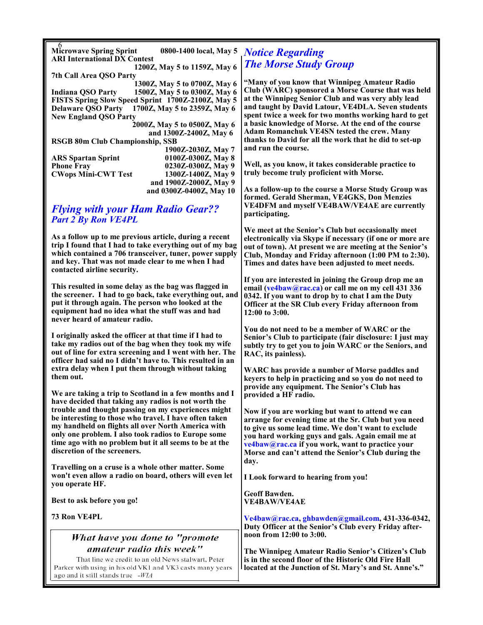| <b>Microwave Spring Sprint</b>                    | 0800-1400 local, May 5       |  |
|---------------------------------------------------|------------------------------|--|
| <b>ARI International DX Contest</b>               |                              |  |
|                                                   | 1200Z, May 5 to 1159Z, May 6 |  |
| 7th Call Area OSO Party                           |                              |  |
|                                                   | 1300Z, May 5 to 0700Z, May 6 |  |
| Indiana OSO Party                                 | 1500Z, May 5 to 0300Z, May 6 |  |
| FISTS Spring Slow Speed Sprint 1700Z-2100Z, May 5 |                              |  |
| <b>Delaware QSO Party</b>                         | 1700Z, May 5 to 2359Z, May 6 |  |
| <b>New England QSO Party</b>                      |                              |  |
|                                                   | 2000Z, May 5 to 0500Z, May 6 |  |
|                                                   | and 1300Z-2400Z, May 6       |  |
| <b>RSGB 80m Club Championship, SSB</b>            |                              |  |
|                                                   | 1900Z-2030Z, May 7           |  |
| <b>ARS</b> Spartan Sprint                         | 0100Z-0300Z, May 8           |  |
| <b>Phone Fray</b>                                 | 0230Z-0300Z, May 9           |  |
| <b>CWops Mini-CWT Test</b>                        | 1300Z-1400Z, May 9           |  |
|                                                   | and 1900Z-2000Z, May 9       |  |
|                                                   | and 0300Z-0400Z, May 10      |  |
|                                                   |                              |  |

#### *Flying with your Ham Radio Gear?? Part 2 By Ron VE4PL*

**As a follow up to me previous article, during a recent trip I found that I had to take everything out of my bag which contained a 706 transceiver, tuner, power supply and key. That was not made clear to me when I had contacted airline security.**

**This resulted in some delay as the bag was flagged in the screener. I had to go back, take everything out, and put it through again. The person who looked at the equipment had no idea what the stuff was and had never heard of amateur radio.** 

**I originally asked the officer at that time if I had to take my radios out of the bag when they took my wife out of line for extra screening and I went with her. The officer had said no I didn't have to. This resulted in an extra delay when I put them through without taking them out.**

**We are taking a trip to Scotland in a few months and I have decided that taking any radios is not worth the trouble and thought passing on my experiences might be interesting to those who travel. I have often taken my handheld on flights all over North America with only one problem. I also took radios to Europe some time ago with no problem but it all seems to be at the discretion of the screeners.** 

**Travelling on a cruse is a whole other matter. Some won't even allow a radio on board, others will even let you operate HF.**

**Best to ask before you go!**

**73 Ron VE4PL**

## What have you done to "promote amateur radio this week"

That line we credit to an old News stalwart, Peter Parker with using in his old VK1 and VK3 casts many years ago and it still stands true -WIA

## *Notice Regarding The Morse Study Group*

**"Many of you know that Winnipeg Amateur Radio Club (WARC) sponsored a Morse Course that was held at the Winnipeg Senior Club and was very ably lead and taught by David Latour, VE4DLA. Seven students spent twice a week for two months working hard to get a basic knowledge of Morse. At the end of the course Adam Romanchuk VE4SN tested the crew. Many thanks to David for all the work that he did to set-up and run the course.**

**Well, as you know, it takes considerable practice to truly become truly proficient with Morse.** 

**As a follow-up to the course a Morse Study Group was formed. Gerald Sherman, VE4GKS, Don Menzies VE4DFM and myself VE4BAW/VE4AE are currently participating.**

**We meet at the Senior's Club but occasionally meet electronically via Skype if necessary (if one or more are out of town). At present we are meeting at the Senior's Club, Monday and Friday afternoon (1:00 PM to 2:30). Times and dates have been adjusted to meet needs.** 

**If you are interested in joining the Group drop me an email (ve4baw@rac.ca) or call me on my cell 431 336 0342. If you want to drop by to chat I am the Duty Officer at the SR Club every Friday afternoon from 12:00 to 3:00.** 

**You do not need to be a member of WARC or the Senior's Club to participate (fair disclosure: I just may subtly try to get you to join WARC or the Seniors, and RAC, its painless).**

**WARC has provide a number of Morse paddles and keyers to help in practicing and so you do not need to provide any equipment. The Senior's Club has provided a HF radio.**

**Now if you are working but want to attend we can arrange for evening time at the Sr. Club but you need to give us some lead time. We don't want to exclude you hard working guys and gals. Again email me at ve4baw@rac.ca if you work, want to practice your Morse and can't attend the Senior's Club during the day.**

**I Look forward to hearing from you!**

**Geoff Bawden. VE4BAW/VE4AE**

**Ve4baw@rac.ca, ghbawden@gmail.com, 431-336-0342, Duty Officer at the Senior's Club every Friday afternoon from 12:00 to 3:00.**

**The Winnipeg Amateur Radio Senior's Citizen's Club is in the second floor of the Historic Old Fire Hall located at the Junction of St. Mary's and St. Anne's."**